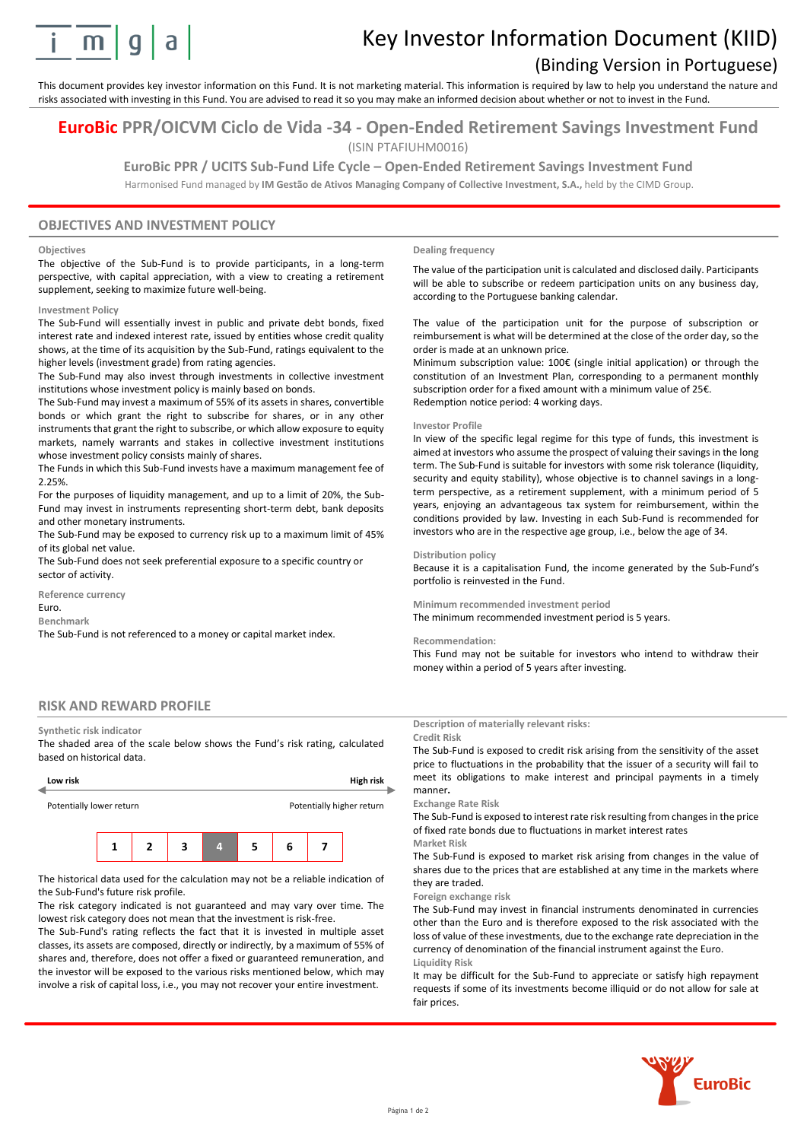

# Key Investor Information Document (KIID)

# (Binding Version in Portuguese)

This document provides key investor information on this Fund. It is not marketing material. This information is required by law to help you understand the nature and risks associated with investing in this Fund. You are advised to read it so you may make an informed decision about whether or not to invest in the Fund.

# **EuroBic PPR/OICVM Ciclo de Vida -34 - Open-Ended Retirement Savings Investment Fund** (ISIN PTAFIUHM0016)

**EuroBic PPR / UCITS Sub-Fund Life Cycle – Open-Ended Retirement Savings Investment Fund**

Harmonised Fund managed by **IM Gestão de Ativos Managing Company of Collective Investment, S.A.,** held by the CIMD Group.

# **OBJECTIVES AND INVESTMENT POLICY**

#### **Objectives**

The objective of the Sub-Fund is to provide participants, in a long-term perspective, with capital appreciation, with a view to creating a retirement supplement, seeking to maximize future well-being.

#### **Investment Policy**

The Sub-Fund will essentially invest in public and private debt bonds, fixed interest rate and indexed interest rate, issued by entities whose credit quality shows, at the time of its acquisition by the Sub-Fund, ratings equivalent to the higher levels (investment grade) from rating agencies.

The Sub-Fund may also invest through investments in collective investment institutions whose investment policy is mainly based on bonds.

The Sub-Fund may invest a maximum of 55% of its assets in shares, convertible bonds or which grant the right to subscribe for shares, or in any other instruments that grant the right to subscribe, or which allow exposure to equity markets, namely warrants and stakes in collective investment institutions whose investment policy consists mainly of shares.

The Funds in which this Sub-Fund invests have a maximum management fee of 2.25%.

For the purposes of liquidity management, and up to a limit of 20%, the Sub-Fund may invest in instruments representing short-term debt, bank deposits and other monetary instruments.

The Sub-Fund may be exposed to currency risk up to a maximum limit of 45% of its global net value.

The Sub-Fund does not seek preferential exposure to a specific country or sector of activity.

**Reference currency**

Euro.

**Benchmark**

The Sub-Fund is not referenced to a money or capital market index.

### **Dealing frequency**

The value of the participation unit is calculated and disclosed daily. Participants will be able to subscribe or redeem participation units on any business day, according to the Portuguese banking calendar.

The value of the participation unit for the purpose of subscription or reimbursement is what will be determined at the close of the order day, so the order is made at an unknown price.

Minimum subscription value: 100€ (single initial application) or through the constitution of an Investment Plan, corresponding to a permanent monthly subscription order for a fixed amount with a minimum value of 25€. Redemption notice period: 4 working days.

#### **Investor Profile**

In view of the specific legal regime for this type of funds, this investment is aimed at investors who assume the prospect of valuing their savings in the long term. The Sub-Fund is suitable for investors with some risk tolerance (liquidity, security and equity stability), whose objective is to channel savings in a longterm perspective, as a retirement supplement, with a minimum period of 5 years, enjoying an advantageous tax system for reimbursement, within the conditions provided by law. Investing in each Sub-Fund is recommended for investors who are in the respective age group, i.e., below the age of 34.

## **Distribution policy**

Because it is a capitalisation Fund, the income generated by the Sub-Fund's portfolio is reinvested in the Fund.

**Minimum recommended investment period**

The minimum recommended investment period is 5 years.

#### **Recommendation:**

This Fund may not be suitable for investors who intend to withdraw their money within a period of 5 years after investing.

# **RISK AND REWARD PROFILE**

#### **Synthetic risk indicator**

The shaded area of the scale below shows the Fund's risk rating, calculated based on historical data.



The historical data used for the calculation may not be a reliable indication of the Sub-Fund's future risk profile.

The risk category indicated is not guaranteed and may vary over time. The lowest risk category does not mean that the investment is risk-free.

The Sub-Fund's rating reflects the fact that it is invested in multiple asset classes, its assets are composed, directly or indirectly, by a maximum of 55% of shares and, therefore, does not offer a fixed or guaranteed remuneration, and the investor will be exposed to the various risks mentioned below, which may involve a risk of capital loss, i.e., you may not recover your entire investment.

# **Description of materially relevant risks:**

## **Credit Risk**

The Sub-Fund is exposed to credit risk arising from the sensitivity of the asset price to fluctuations in the probability that the issuer of a security will fail to meet its obligations to make interest and principal payments in a timely manner**.**

**Exchange Rate Risk**

The Sub-Fund is exposed to interest rate risk resulting from changes in the price of fixed rate bonds due to fluctuations in market interest rates

**Market Risk**

The Sub-Fund is exposed to market risk arising from changes in the value of shares due to the prices that are established at any time in the markets where they are traded.

**Foreign exchange risk**

The Sub-Fund may invest in financial instruments denominated in currencies other than the Euro and is therefore exposed to the risk associated with the loss of value of these investments, due to the exchange rate depreciation in the currency of denomination of the financial instrument against the Euro. **Liquidity Risk**

It may be difficult for the Sub-Fund to appreciate or satisfy high repayment requests if some of its investments become illiquid or do not allow for sale at fair prices.